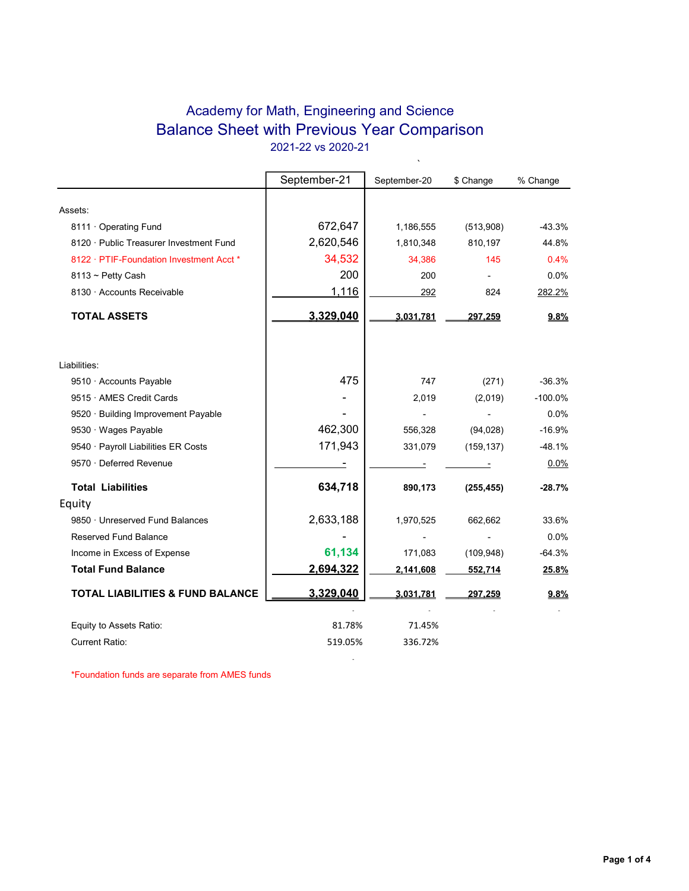## Academy for Math, Engineering and Science Balance Sheet with Previous Year Comparison 2021-22 vs 2020-21

 $\ddot{\phantom{0}}$ 

|                                             | September-21             | September-20 | \$ Change  | % Change  |
|---------------------------------------------|--------------------------|--------------|------------|-----------|
|                                             |                          |              |            |           |
| Assets:                                     |                          |              |            |           |
| 8111 · Operating Fund                       | 672,647                  | 1,186,555    | (513,908)  | $-43.3%$  |
| 8120 · Public Treasurer Investment Fund     | 2,620,546                | 1,810,348    | 810,197    | 44.8%     |
| 8122 · PTIF-Foundation Investment Acct *    | 34,532                   | 34,386       | 145        | 0.4%      |
| $8113 \sim$ Petty Cash                      | 200                      | 200          |            | 0.0%      |
| 8130 · Accounts Receivable                  | 1,116                    | 292          | 824        | 282.2%    |
| <b>TOTAL ASSETS</b>                         | 3,329,040                | 3.031.781    | 297.259    | 9.8%      |
| Liabilities:                                |                          |              |            |           |
| 9510 · Accounts Payable                     | 475                      | 747          | (271)      | $-36.3%$  |
| 9515 · AMES Credit Cards                    |                          | 2,019        | (2,019)    | $-100.0%$ |
| 9520 · Building Improvement Payable         |                          |              |            | 0.0%      |
| 9530 · Wages Payable                        | 462,300                  | 556,328      | (94, 028)  | $-16.9%$  |
| 9540 · Payroll Liabilities ER Costs         | 171,943                  | 331,079      | (159, 137) | $-48.1%$  |
| 9570 · Deferred Revenue                     | $\overline{\phantom{a}}$ |              |            | 0.0%      |
| <b>Total Liabilities</b>                    | 634,718                  | 890,173      | (255, 455) | $-28.7%$  |
| Equity                                      |                          |              |            |           |
| 9850 · Unreserved Fund Balances             | 2,633,188                | 1,970,525    | 662,662    | 33.6%     |
| Reserved Fund Balance                       |                          |              |            | 0.0%      |
| Income in Excess of Expense                 | 61,134                   | 171,083      | (109, 948) | $-64.3%$  |
| <b>Total Fund Balance</b>                   | 2,694,322                | 2,141,608    | 552,714    | 25.8%     |
| <b>TOTAL LIABILITIES &amp; FUND BALANCE</b> | 3,329,040                | 3,031,781    | 297,259    | 9.8%      |
|                                             |                          |              |            |           |
| Equity to Assets Ratio:                     | 81.78%                   | 71.45%       |            |           |
| <b>Current Ratio:</b>                       | 519.05%                  | 336.72%      |            |           |

**- All and All and All and All and All** 

\*Foundation funds are separate from AMES funds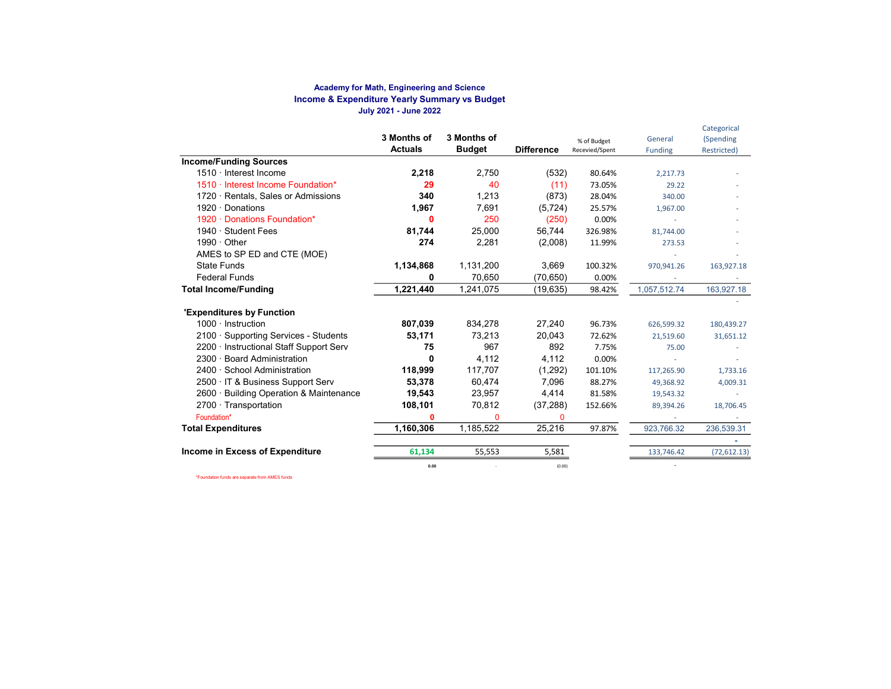#### Academy for Math, Engineering and Science Income & Expenditure Yearly Summary vs Budget July 2021 - June 2022

|                                         |                |               |                   |                |                | Categorical  |
|-----------------------------------------|----------------|---------------|-------------------|----------------|----------------|--------------|
|                                         | 3 Months of    | 3 Months of   |                   | % of Budget    | General        | (Spending    |
|                                         | <b>Actuals</b> | <b>Budget</b> | <b>Difference</b> | Recevied/Spent | <b>Funding</b> | Restricted)  |
| <b>Income/Funding Sources</b>           |                |               |                   |                |                |              |
| 1510 · Interest Income                  | 2,218          | 2,750         | (532)             | 80.64%         | 2,217.73       |              |
| 1510 · Interest Income Foundation*      | 29             | 40            | (11)              | 73.05%         | 29.22          |              |
| 1720 · Rentals, Sales or Admissions     | 340            | 1,213         | (873)             | 28.04%         | 340.00         |              |
| 1920 · Donations                        | 1,967          | 7,691         | (5, 724)          | 25.57%         | 1,967.00       |              |
| 1920 · Donations Foundation*            | ŋ              | 250           | (250)             | 0.00%          |                |              |
| 1940 · Student Fees                     | 81,744         | 25,000        | 56,744            | 326.98%        | 81,744.00      |              |
| $1990 \cdot$ Other                      | 274            | 2,281         | (2,008)           | 11.99%         | 273.53         |              |
| AMES to SP ED and CTE (MOE)             |                |               |                   |                |                |              |
| <b>State Funds</b>                      | 1,134,868      | 1,131,200     | 3,669             | 100.32%        | 970,941.26     | 163,927.18   |
| <b>Federal Funds</b>                    | O              | 70,650        | (70,650)          | 0.00%          |                |              |
| <b>Total Income/Funding</b>             | 1,221,440      | 1,241,075     | (19, 635)         | 98.42%         | 1,057,512.74   | 163,927.18   |
| 'Expenditures by Function               |                |               |                   |                |                |              |
| $1000 \cdot$ Instruction                | 807,039        | 834,278       | 27,240            | 96.73%         | 626,599.32     | 180,439.27   |
| 2100 · Supporting Services - Students   | 53,171         | 73,213        | 20,043            | 72.62%         | 21,519.60      | 31,651.12    |
| 2200 · Instructional Staff Support Serv | 75             | 967           | 892               | 7.75%          | 75.00          |              |
| 2300 · Board Administration             | 0              | 4,112         | 4,112             | 0.00%          |                |              |
| 2400 · School Administration            | 118,999        | 117,707       | (1,292)           | 101.10%        | 117,265.90     | 1,733.16     |
| 2500 · IT & Business Support Serv       | 53,378         | 60,474        | 7,096             | 88.27%         | 49,368.92      | 4,009.31     |
| 2600 · Building Operation & Maintenance | 19,543         | 23,957        | 4,414             | 81.58%         | 19,543.32      |              |
| $2700 \cdot$ Transportation             | 108,101        | 70,812        | (37, 288)         | 152.66%        | 89,394.26      | 18,706.45    |
| Foundation*                             | 0              | $\Omega$      | $\Omega$          |                |                |              |
| <b>Total Expenditures</b>               | 1,160,306      | 1,185,522     | 25,216            | 97.87%         | 923,766.32     | 236,539.31   |
|                                         |                |               |                   |                |                |              |
| Income in Excess of Expenditure         | 61,134         | 55,553        | 5,581             |                | 133,746.42     | (72, 612.13) |
|                                         | 0.00           |               | (0.00)            |                |                |              |

\*Foundation funds are separate from AMES funds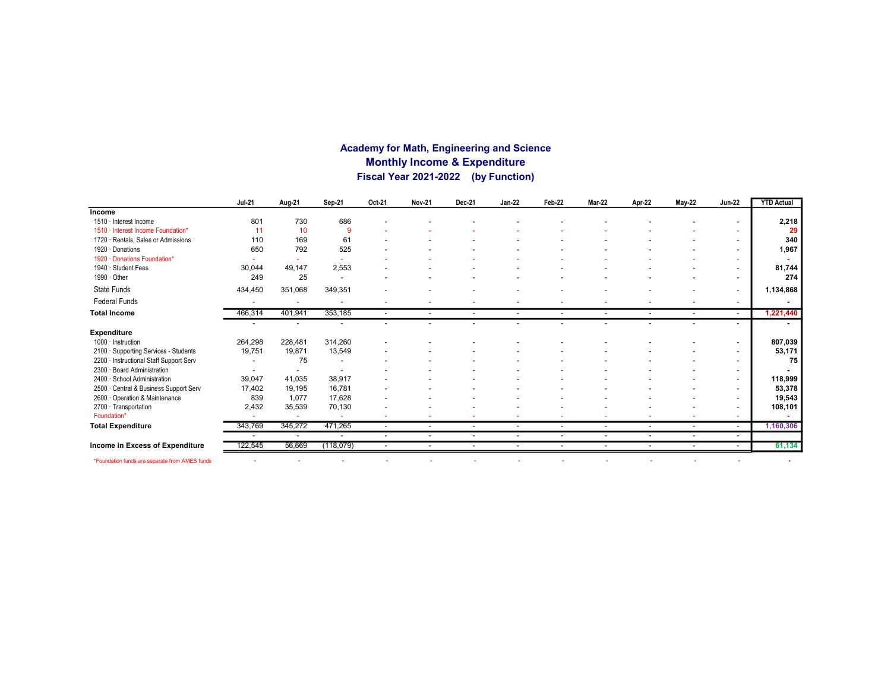### Academy for Math, Engineering and Science Monthly Income & Expenditure Fiscal Year 2021-2022 (by Function)

|                                                | <b>Jul-21</b>            | Aug-21                   | Sep-21                   | Oct-21                   | <b>Nov-21</b>            | Dec-21                   | <b>Jan-22</b>            | Feb-22                   | <b>Mar-22</b>            | Apr-22                   | <b>May-22</b>            | <b>Jun-22</b>            | <b>YTD Actual</b> |
|------------------------------------------------|--------------------------|--------------------------|--------------------------|--------------------------|--------------------------|--------------------------|--------------------------|--------------------------|--------------------------|--------------------------|--------------------------|--------------------------|-------------------|
| Income                                         |                          |                          |                          |                          |                          |                          |                          |                          |                          |                          |                          |                          |                   |
| 1510 · Interest Income                         | 801                      | 730                      | 686                      |                          |                          |                          |                          |                          |                          |                          |                          |                          | 2,218             |
| 1510 · Interest Income Foundation*             | 11                       | 10                       | 9                        |                          |                          |                          |                          |                          |                          |                          |                          |                          | 29                |
| 1720 · Rentals, Sales or Admissions            | 110                      | 169                      | 61                       |                          |                          |                          |                          |                          |                          |                          |                          |                          | 340               |
| 1920 Donations                                 | 650                      | 792                      | 525                      |                          |                          |                          |                          |                          |                          |                          |                          | $\overline{\phantom{a}}$ | 1,967             |
| 1920 · Donations Foundation*                   |                          |                          |                          |                          |                          |                          |                          |                          |                          |                          |                          |                          |                   |
| 1940 · Student Fees                            | 30,044                   | 49,147                   | 2,553                    |                          |                          |                          |                          |                          |                          |                          |                          |                          | 81,744            |
| 1990 · Other                                   | 249                      | 25                       | $\overline{\phantom{a}}$ |                          |                          |                          |                          |                          |                          |                          |                          | $\overline{\phantom{a}}$ | 274               |
| State Funds                                    | 434,450                  | 351,068                  | 349,351                  |                          |                          |                          |                          |                          |                          |                          |                          | -                        | 1,134,868         |
| <b>Federal Funds</b>                           |                          |                          | ٠                        |                          |                          |                          |                          |                          |                          |                          |                          | $\overline{\phantom{a}}$ |                   |
| <b>Total Income</b>                            | 466,314                  | 401,941                  | 353,185                  |                          | $\overline{\phantom{a}}$ | $\overline{\phantom{a}}$ | $\overline{\phantom{a}}$ | $\overline{\phantom{a}}$ | $\sim$                   | $\overline{\phantom{a}}$ |                          | $\overline{\phantom{a}}$ | 1,221,440         |
|                                                |                          |                          |                          |                          |                          |                          |                          |                          |                          |                          |                          |                          |                   |
| <b>Expenditure</b>                             |                          |                          |                          |                          |                          |                          |                          |                          |                          |                          |                          |                          |                   |
| $1000 \cdot$ Instruction                       | 264,298                  | 228,481                  | 314,260                  |                          |                          |                          |                          |                          |                          |                          |                          | $\overline{\phantom{a}}$ | 807,039           |
| 2100 · Supporting Services - Students          | 19,751                   | 19,871                   | 13,549                   |                          |                          |                          |                          |                          |                          |                          |                          | $\overline{\phantom{a}}$ | 53,171            |
| 2200 · Instructional Staff Support Serv        |                          | 75                       |                          |                          |                          |                          |                          |                          |                          |                          |                          | $\overline{\phantom{a}}$ | 75                |
| 2300 · Board Administration                    |                          | $\overline{\phantom{a}}$ |                          |                          |                          |                          |                          |                          |                          |                          |                          | $\overline{\phantom{a}}$ |                   |
| 2400 · School Administration                   | 39,047                   | 41,035                   | 38,917                   |                          |                          |                          |                          |                          |                          |                          |                          | $\overline{\phantom{a}}$ | 118,999           |
| 2500 · Central & Business Support Serv         | 17,402                   | 19,195                   | 16,781                   |                          |                          |                          |                          |                          |                          |                          |                          | $\overline{\phantom{a}}$ | 53,378            |
| 2600 Operation & Maintenance                   | 839                      | 1,077                    | 17,628                   |                          |                          |                          |                          |                          |                          |                          |                          | $\overline{\phantom{a}}$ | 19,543            |
| 2700 · Transportation                          | 2,432                    | 35,539                   | 70,130                   |                          |                          |                          |                          |                          |                          |                          |                          | $\overline{\phantom{a}}$ | 108,101           |
| Foundation*                                    | $\overline{\phantom{a}}$ |                          |                          |                          |                          |                          |                          |                          |                          |                          |                          | ٠                        |                   |
| <b>Total Expenditure</b>                       | 343,769                  | 345,272                  | 471,265                  | $\overline{\phantom{a}}$ | $\overline{\phantom{a}}$ | $\overline{\phantom{a}}$ | $\sim$                   | $\overline{\phantom{a}}$ | $\overline{\phantom{a}}$ | $\overline{\phantom{a}}$ | $\overline{\phantom{a}}$ | $\sim$                   | 1,160,306         |
|                                                |                          | $\sim$                   | ٠                        | $\overline{\phantom{a}}$ | $\overline{\phantom{a}}$ | $\overline{\phantom{a}}$ | $\overline{a}$           | $\overline{\phantom{a}}$ | $\overline{\phantom{0}}$ | $\overline{\phantom{a}}$ | $\overline{\phantom{a}}$ | $\overline{\phantom{a}}$ |                   |
| Income in Excess of Expenditure                | 122,545                  | 56,669                   | (118,079)                | $\overline{\phantom{a}}$ | $\overline{\phantom{a}}$ | $\overline{\phantom{a}}$ | ۰                        | $\overline{\phantom{a}}$ | $\overline{\phantom{a}}$ |                          |                          | $\sim$                   | 61,134            |
| *Foundation funds are separate from AMES funds |                          |                          |                          |                          |                          | $\overline{\phantom{0}}$ |                          |                          |                          |                          | $\overline{\phantom{a}}$ |                          |                   |